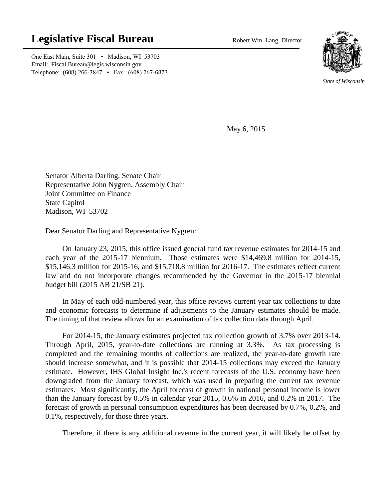## **Legislative Fiscal Bureau** Robert Wm. Lang, Director

One East Main, Suite 301 • Madison, WI 53703 Email: Fiscal.Bureau@legis.wisconsin.gov Telephone: (608) 266-3847 • Fax: (608) 267-6873



*State of Wisconsin*

May 6, 2015

Senator Alberta Darling, Senate Chair Representative John Nygren, Assembly Chair Joint Committee on Finance State Capitol Madison, WI 53702

Dear Senator Darling and Representative Nygren:

On January 23, 2015, this office issued general fund tax revenue estimates for 2014-15 and each year of the 2015-17 biennium. Those estimates were \$14,469.8 million for 2014-15, \$15,146.3 million for 2015-16, and \$15,718.8 million for 2016-17. The estimates reflect current law and do not incorporate changes recommended by the Governor in the 2015-17 biennial budget bill (2015 AB 21/SB 21).

In May of each odd-numbered year, this office reviews current year tax collections to date and economic forecasts to determine if adjustments to the January estimates should be made. The timing of that review allows for an examination of tax collection data through April.

For 2014-15, the January estimates projected tax collection growth of 3.7% over 2013-14. Through April, 2015, year-to-date collections are running at 3.3%. As tax processing is completed and the remaining months of collections are realized, the year-to-date growth rate should increase somewhat, and it is possible that 2014-15 collections may exceed the January estimate. However, IHS Global Insight Inc.'s recent forecasts of the U.S. economy have been downgraded from the January forecast, which was used in preparing the current tax revenue estimates. Most significantly, the April forecast of growth in national personal income is lower than the January forecast by 0.5% in calendar year 2015, 0.6% in 2016, and 0.2% in 2017. The forecast of growth in personal consumption expenditures has been decreased by 0.7%, 0.2%, and 0.1%, respectively, for those three years.

Therefore, if there is any additional revenue in the current year, it will likely be offset by